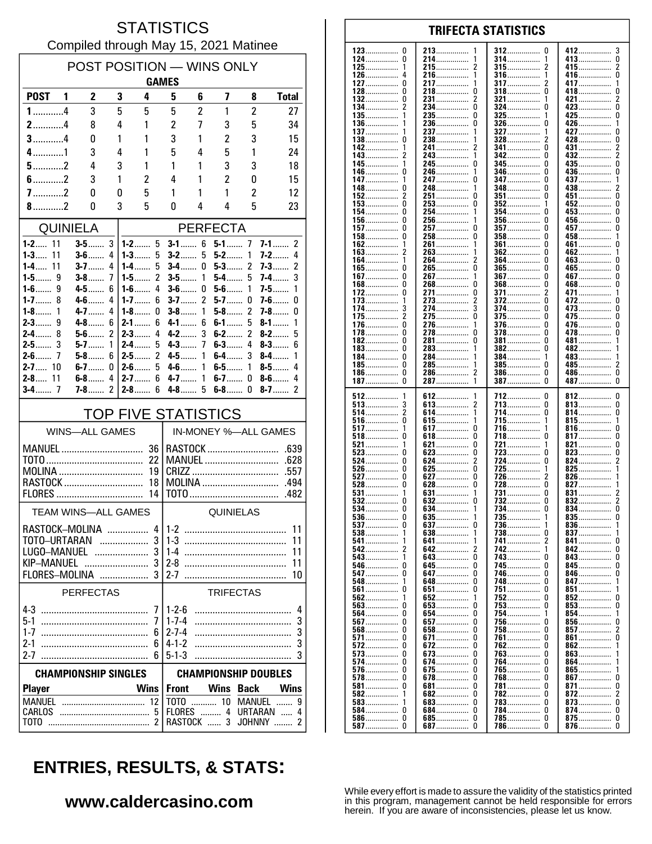### **STATISTICS** Compiled through May 15, 2021 Matinee

| POST POSITION - WINS ONLY                                  |                       |               |                                |                        |                  |                         |                      |                          |  |
|------------------------------------------------------------|-----------------------|---------------|--------------------------------|------------------------|------------------|-------------------------|----------------------|--------------------------|--|
|                                                            | <b>GAMES</b>          |               |                                |                        |                  |                         |                      |                          |  |
| POST <sub>1</sub>                                          | $\mathbf{2}$          | 3             | 4                              | 5                      | 6                | $\overline{\mathbf{z}}$ | 8                    | <b>Total</b>             |  |
| $1$ 4                                                      | 3                     | 5             | 5                              | 5                      | 2                | 1                       | 2                    | 27                       |  |
| $2$ 4                                                      | 8                     | 4             | 1                              | $\overline{c}$         | 7                | 3                       | 5                    | 34                       |  |
| $3$ 4                                                      | 0                     | 1             | 1                              | 3                      | 1                | $\overline{c}$          | 3                    | 15                       |  |
| $4$ 1                                                      | 3                     | 4             | 1                              | 5                      | 4                | 5                       | 1                    | 24                       |  |
| $5$ 2                                                      | 4                     | 3             | 1                              | 1                      | 1                | 3                       | 3                    | 18                       |  |
| $6$ 2                                                      | 3                     | 1             | 2                              | 4                      | 1                | 2                       | 0                    | 15                       |  |
| $7$ 2                                                      | 0                     | 0             | 5                              | 1                      | 1                | 1                       | $\overline{c}$       | 12                       |  |
| 8.111                                                      | 0                     | 3             | 5                              | 0                      | 4                | 4                       | 5                    | 23                       |  |
|                                                            | QUINIELA              |               |                                |                        |                  | <b>PERFECTA</b>         |                      |                          |  |
| $1 - 2$ 11                                                 | $3-5$                 | 3             | $1 - 2$ 5                      | $3-1$                  | 6                | $5-1$ 7                 |                      | $7-1$<br>2               |  |
| $1 - 3$<br>11                                              | $3-6$                 | 4             | 1-3……<br>5                     | $3-2$                  | 5                | $5-2$                   | 1                    | $7-2$<br>4               |  |
| 1-4 11<br>$1 - 5$<br>9                                     | $3 - 7$<br>$3-8$      | 4<br>7        | 5<br>1-4……<br>2<br>1-5 $\dots$ | <b>3-4</b> ……<br>$3-5$ | 0<br>1           | $5-3$<br>5-4            | 2<br>5               | 2<br>7-3……<br>3<br>7-4…… |  |
| $1-6$<br>9                                                 | $4 - 5$               | 6             | $1-6$<br>4                     | $3-6$                  | 0                | $5-6$                   | 1                    | $7-5$<br>1               |  |
| $1 - 7$<br>8                                               | $4 - 6$               | 4             | $1 - 7$<br>6                   | $3-7$                  | 2                | $5-7$                   | 0                    | $7 - 6$<br>0             |  |
| $1-8$<br>1                                                 | $4 - 7$               | 4             | $1 - 8$<br>0                   | $3-8$                  | 1                | $5-8$                   | 2                    | 7-8……<br>0               |  |
| 9<br>$2 - 3$                                               | $4-8$                 | 6             | $2-1$<br>6                     | $4 - 1$                | 6                | $6-1$                   | 5                    | $8-1$<br>1               |  |
| $2-4$<br>8                                                 | $5-6$                 | 2<br>1        | $2-3$<br>4                     | $4 - 2$                | 3<br>7           | $6-2$                   | 2                    | 5<br>$8-2$<br>$8-3$      |  |
| $2 - 5$ 3<br>$2 - 6$ 7                                     | $5-7$<br>$5-8$        | 6             | $2 - 4$<br>5<br>2<br>$2-5$     | $4 - 3$<br>4-5         | 1                | $6-3$<br>$6-4$          | 4<br>3               | 6<br>$8-4$<br>1          |  |
| $2 - 7$ 10                                                 | $6-7$                 | 0             | 5<br>2-6……                     | $4 - 6$                | 1                | $6-5$                   | 1                    | 4<br>$8-5$               |  |
| $2 - 8$ 11                                                 | $6-8$                 | 4             | $2 - 7$<br>6                   | $4 - 7$                | 1                | $6-7$                   | 0                    | $8-6$<br>4               |  |
|                                                            | <b>7-8</b> ……         | $\mathfrak z$ | $2 - 8$<br>6                   | $4-8$                  | 5                | $6-8$                   | 0                    | $8-7$<br>2               |  |
|                                                            |                       |               | <b>TOP FIVE STATISTICS</b>     |                        |                  |                         |                      |                          |  |
|                                                            | <b>WINS-ALL GAMES</b> |               |                                |                        |                  |                         | IN-MONEY %-ALL GAMES |                          |  |
|                                                            | MANUEL                |               | 36                             |                        |                  |                         | RASTOCK              | .639                     |  |
|                                                            |                       |               | 22                             | <b>MANUEL</b><br>.628  |                  |                         |                      |                          |  |
| MOLINA<br>19<br>RASTOCK                                    |                       |               | .557<br>MOLINA<br>.494         |                        |                  |                         |                      |                          |  |
|                                                            |                       |               | 18<br>14                       |                        |                  |                         |                      | .482                     |  |
| FLORES                                                     |                       |               |                                |                        |                  |                         |                      |                          |  |
|                                                            | TEAM WINS-ALL GAMES   |               |                                | QUINIELAS              |                  |                         |                      |                          |  |
| RASTOCK-MOLINA                                             |                       |               |                                | $4 1-2$<br>11          |                  |                         |                      |                          |  |
| 3<br>TOTO-URTARAN<br>3<br>LUGO-MANUEL                      |                       |               |                                | 11<br>11               |                  |                         |                      |                          |  |
|                                                            |                       |               |                                | 11                     |                  |                         |                      |                          |  |
|                                                            | FLORES-MOLINA         |               | 3                              |                        |                  |                         |                      | 10                       |  |
| <b>PERFECTAS</b>                                           |                       |               |                                |                        | <b>TRIFECTAS</b> |                         |                      |                          |  |
| 7                                                          |                       |               |                                | $1 - 2 - 6$            |                  |                         |                      | 4                        |  |
|                                                            |                       |               | 7                              | $1 - 7 - 4$            |                  |                         |                      | 3                        |  |
| $1 - 7$                                                    |                       |               | 6                              | $2 - 7 - 4$            |                  |                         |                      | 3                        |  |
| $2 - 1$                                                    |                       |               | 6                              | $4 - 1 - 2$            |                  |                         |                      | 3                        |  |
| $2 - 7$                                                    |                       |               | 6                              | $5 - 1 - 3$            |                  |                         |                      | 3                        |  |
| <b>CHAMPIONSHIP DOUBLES</b><br><b>CHAMPIONSHIP SINGLES</b> |                       |               |                                |                        |                  |                         |                      |                          |  |
| <b>Player</b>                                              |                       |               | <b>Wins</b>                    | <b>Front</b>           |                  | Wins Back               |                      | <b>Wins</b>              |  |
|                                                            |                       |               |                                |                        |                  |                         | TOTO  10 MANUEL      | 9                        |  |
| CARLOS                                                     |                       |               |                                |                        |                  |                         | FLORES  4 URTARAN    | 4                        |  |
|                                                            |                       |               |                                |                        | RASTOCK  3       |                         | JOHNNY               | 2                        |  |

| 123……………        | 213             | 312          | 412             |
|-----------------|-----------------|--------------|-----------------|
| 0               | 1               | 0            | 3               |
| 124……………<br>0   | 214……………        | 314……………     | 413……………<br>0   |
| 125             | 215             | 315          | 415……………<br>2   |
| 126……………        | 216……………        | 316          | 416……………        |
| 4               |                 | 1            | 0               |
| 127             | 217……………        | 317          | 417             |
| 0               | 0               | 0            |                 |
| 128……………        | 218……………        | $318$        | 418……………<br>U   |
| 132             | 231             | 321          | 421             |
| 0               | 2               | 1            | 2               |
| 134……………        | 234             | $324$        | 423             |
| 2               | 0               | U            | U               |
| $135$           | 235             | <b>325</b>   | 425<br>U        |
| 136             | 236……………        | $326$        | 426……………        |
|                 | 0               | 0            | 1               |
| 137             | 237             | <b>327</b>   | 427             |
| 1               |                 | 1            | 0               |
| 138……………        | 238             | $328$        | 428……………        |
| 0               | 1               | 2            | 0               |
| 142             | 241……………        | 341          | 431<br>2        |
| 143             | 243             | 342          | 432             |
| 2               | 1               | 0            | 2               |
| 145             | 245             | 345          | 435             |
|                 | 0               | 0            | 0               |
| 146……………        | 246             | <b>346</b>   | 436……………        |
| 0               | 1               | 0            | 0               |
| 147……………        | 247             | <b>347</b>   | 437             |
| 148……………<br>0   | 1               | 0            | 438<br>2        |
| 2               | 248             | 348          |                 |
| 152             | 251             | $351$        | 451             |
|                 | 0               | 0            | 0               |
| 153             | 253             | $352$        | 452             |
|                 | 0               | 1            | 0               |
| 154……………        | 254             | 354<br>0     | 453<br>U        |
| 156             | 256             | $356$        | 456……………        |
|                 | 1               | 0            | 0               |
| 157             | 257             | <b>357</b>   | 457             |
| 0               | 0               | 0            | 0               |
| $158$           | 258……………        | $358$        | 458……………        |
|                 | 0               | 0            | 1               |
| 162             | 261             | <b>361</b>   | 461             |
|                 | 1               | 0            | U               |
| $163$           | 263……………        | $362$        | 462             |
| 2               | 1               | 0            | 1               |
| 164             | 2               | $364$        | 463……………        |
| 1               | 264             | 0            | 0               |
| 165……………        | 265             | $365$        | 465……………        |
|                 | 0               | 0            | 0               |
| 167……………        | 267             | <b>367</b>   | 467             |
| 0               | 1               | 0            | U               |
| 0               | 268<br>0        | 0            | 0               |
| 168……………        |                 | 368……………     | 468……………        |
| 172             | 271             | <b>371</b>   | 471             |
| 0               | 0               | 2            | 1               |
| $173$           | 273             | 372          | 472             |
| 1               |                 | 0            | U               |
| 174             | 274             | 374          | 473             |
| 3               |                 | 0            | 0               |
| 2               | 275             | 375          | 475             |
| 175……………        | 0               | 0            | 0               |
| 176……………        | 276             | 376          | 476……………        |
| 0               | 1               | 0            | 0               |
| 178             | 278……………        | 378          | 478<br>U        |
| 182             | 281……………        | 381          | 481……………        |
| 0               | 0               | 0            |                 |
| $183$           | 283             | 382          | 482……………        |
| 0               |                 | 0            | 1               |
| 184……………        | 284             | 384          | 483……………        |
| 0               | 1               | 1            | 1               |
| 185……………        | 285……………        | $\bf{385}$   | 485             |
| 0               | 1               | 0            | 2               |
| 186……………        | 2               | $386$        | 486……………        |
| 0               | 286             | 0            | 0               |
| 187             | 287             | 387          | 487……………        |
| 0               | 1               | 0            | 0               |
|                 |                 |              |                 |
|                 |                 |              |                 |
|                 |                 |              |                 |
| $512$           | 612             | 712          | 812             |
| 1               | 1               | 0            | 0               |
| 513             | 613             | 713          | 813……………        |
| 3               | 2               | 0            | 0               |
| 2               | 614……………        | 714……………     | 814……………        |
| 514             | 1               | 0            | 0               |
| <b>516</b>      | 615             | 715          | 815             |
| 0               | 1               | 1            | 1               |
| 517             | 617             | 716          | 816<br>U        |
| <b>518</b>      | 618……………        | 718          | 817……………        |
| 0               | 0               | 0            | 0               |
| 521             | 621             | 721          | 821             |
| 1               | 0               | 1            | 0               |
| 523             | 623             | 723          | 823             |
| 0               | 0               | U            | 0               |
| 524             | 624             | 724          | 824             |
| 0               |                 | 0            | 2               |
| 526             | 625             | 725          | 825             |
| 0               | 0               | 1            | 1               |
| 527<br>0        | 0               | 726<br>2     | 1               |
| 528<br>0        | 627<br>628<br>0 | 728<br>0     | 826<br>827<br>1 |
| 531             |                 | 731          | 2               |
| 0               | 631<br>0        | 0            | 831             |
| $532$<br>0      | 632             | 732          | 832<br>2        |
| 534             | 634             | 734……………     | 834<br>0        |
| $536$           | $635$           | 735          | $835$<br>0      |
| 537<br>υ        | <b>637</b><br>υ | <b>136</b>   | 836             |
| $538 \dots 538$ | $638$           | <b>738</b>   | 837             |
| 1               | 1               | U            | 1               |
| 541             | 641             | 741 2        | 841<br>U        |
|                 | 642<br>2        | 742          | 842<br>U        |
| 543             | 643             | 743          | 843             |
|                 | 0               | U            | U               |
| <b>546</b> 0    | 645             | 745          | 845……………        |
|                 | 0               | U            | U               |
| <b>547</b> 0    | 647<br>0        | <b>746</b> 0 | 846<br>U        |
|                 | 648<br>0        |              | 847<br>1        |
|                 | 651<br>0        | 751<br>U     | 851             |
| 562             | 652             | 752          | 852             |
| 1               | 1               |              | U               |
|                 | 653             | <b>753</b>   | 853             |
|                 | 0               | U            | U               |
| 564 0           | 654             | 754          | 854             |
|                 | 0               | 1            | 1               |
|                 | 657             | 756          | 856             |
|                 | 0               | U            | U               |
|                 | 658<br>0        | 758<br>0     | 2               |
|                 |                 |              | 857……………        |
|                 | <b>671</b><br>0 | 761 0        | 861<br>U        |
|                 | 672<br>0        | 762  0       | 862             |
|                 | <b>673</b><br>0 | 763<br>U     | $863$           |
| <b>574</b> 0    | 674……………… 0     | 764……………  0  | 864……………<br>1   |
| <b>576</b> 0    | <b>675</b><br>0 | 765 0        | 865<br>1        |
| <b>578</b> 0    | 678             | 768          | 867<br>U        |
| <b>581</b><br>0 | <b>681</b><br>0 | 781          | 871             |
| <b>582</b>      | 682             | 782          | 872             |
| 1               |                 | 0            | 2               |
|                 |                 | 783  0       |                 |
|                 | 684             | 784          | 874……………        |
|                 | 0               | 0            | U               |
|                 | 685<br>0        | 785          | $875$<br>0      |
|                 | 687             | 786          | 876             |
|                 | 0               | 0            | 0               |

# **ENTRIES, RESULTS, & STATS:**

### www.caldercasino.com

While every effort is made to assure the validity of the statistics printed<br>in this program, management cannot be held responsible for errors<br>herein. If you are aware of inconsistencies, please let us know.

#### **TRIFECTA STATISTICS**